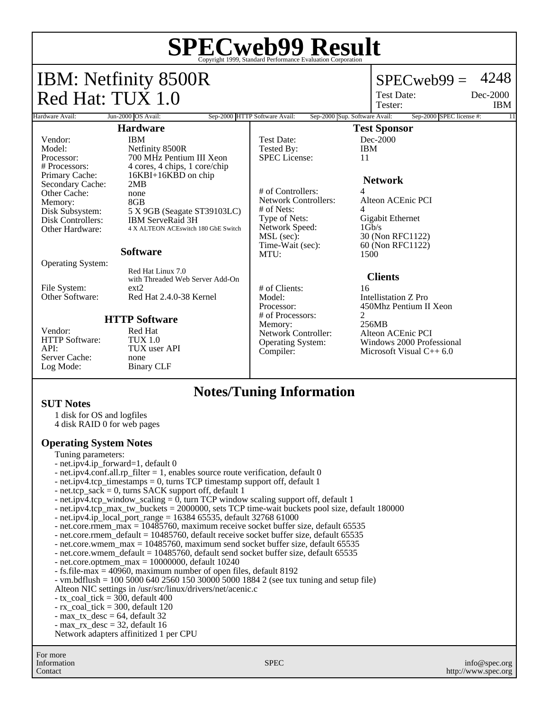| <b>SPECweb99 Result</b><br>© Copyright 1999, Standard Performance Evaluation Corporation                                                  |                                                                                                                  |                                                                                      |                                                                                           |
|-------------------------------------------------------------------------------------------------------------------------------------------|------------------------------------------------------------------------------------------------------------------|--------------------------------------------------------------------------------------|-------------------------------------------------------------------------------------------|
| <b>IBM: Netfinity 8500R</b>                                                                                                               |                                                                                                                  |                                                                                      | 4248<br>$SPECweb99 =$                                                                     |
| Red Hat: TUX 1.0                                                                                                                          |                                                                                                                  |                                                                                      | Dec-2000<br>Test Date:<br>Tester:<br><b>IBM</b>                                           |
| Sep-2000 SPEC license #:<br>Jun-2000 OS Avail:<br>Sep-2000 HTTP Software Avail:<br>Sep-2000 Sup. Software Avail:<br>Hardware Avail:<br>11 |                                                                                                                  |                                                                                      |                                                                                           |
| <b>Hardware</b>                                                                                                                           |                                                                                                                  | <b>Test Sponsor</b>                                                                  |                                                                                           |
| Vendor:<br>Model:<br>Processor:<br># Processors:                                                                                          | <b>IBM</b><br>Netfinity 8500R<br>700 MHz Pentium III Xeon<br>4 cores, 4 chips, 1 core/chip                       | <b>Test Date:</b><br>Tested By:<br><b>SPEC</b> License:                              | $Dec-2000$<br><b>IBM</b><br>11                                                            |
| Primary Cache:<br>Secondary Cache:<br>Other Cache:                                                                                        | 16KBI+16KBD on chip<br>2MR<br>none                                                                               | # of Controllers:                                                                    | <b>Network</b><br>4                                                                       |
| Memory:<br>Disk Subsystem:<br><b>Disk Controllers:</b><br>Other Hardware:                                                                 | 8 <sub>GB</sub><br>5 X 9GB (Seagate ST39103LC)<br><b>IBM ServeRaid 3H</b><br>4 X ALTEON ACEswitch 180 GbE Switch | <b>Network Controllers:</b><br>$#$ of Nets:<br>Type of Nets:<br>Network Speed:       | Alteon ACEnic PCI<br>4<br>Gigabit Ethernet<br>$1$ Gb/s                                    |
|                                                                                                                                           | <b>Software</b>                                                                                                  | MSL (sec):<br>Time-Wait (sec):<br>MTU:                                               | 30 (Non RFC1122)<br>60 (Non RFC1122)<br>1500                                              |
| <b>Operating System:</b>                                                                                                                  | Red Hat Linux 7.0<br>with Threaded Web Server Add-On                                                             |                                                                                      | <b>Clients</b>                                                                            |
| File System:<br>Other Software:                                                                                                           | ext2<br>Red Hat 2.4.0-38 Kernel                                                                                  | # of Clients:<br>Model:<br>Processor:                                                | 16<br>Intellistation Z Pro<br>450Mhz Pentium II Xeon                                      |
| Vendor:<br>HTTP Software:<br>API:<br>Server Cache:<br>Log Mode:                                                                           | <b>HTTP Software</b><br>Red Hat<br>TUX 1.0<br>TUX user API<br>none<br><b>Binary CLF</b>                          | # of Processors:<br>Memory:<br>Network Controller:<br>Operating System:<br>Compiler: | 2<br>256MB<br>Alteon ACEnic PCI<br>Windows 2000 Professional<br>Microsoft Visual $C++6.0$ |

## **Notes/Tuning Information**

#### **SUT Notes**

1 disk for OS and logfiles

4 disk RAID 0 for web pages

## **Operating System Notes**

- Tuning parameters:
- net.ipv4.ip\_forward=1, default 0
- net.ipv4.conf.all.rp\_filter = 1, enables source route verification, default 0
- net.ipv4.tcp\_timestamps = 0, turns TCP timestamp support off, default 1
- net.tcp\_sack = 0, turns SACK support off, default  $1$
- net.ipv4.tcp\_window\_scaling  $= 0$ , turn TCP window scaling support off, default 1
- net.ipv4.tcp\_max\_tw\_buckets = 2000000, sets TCP time-wait buckets pool size, default 180000
- net.ipv4.ip\_local\_port\_range = 16384 65535, default 32768 61000
- net.core.rmem\_max = 10485760, maximum receive socket buffer size, default 65535
- net.core.rmem\_default = 10485760, default receive socket buffer size, default 65535
- net.core.wmem\_max = 10485760, maximum send socket buffer size, default 65535
- net.core.wmem\_default = 10485760, default send socket buffer size, default 65535
- $-$  net.core.optmem\_max = 10000000, default 10240
- fs.file-max = 40960, maximum number of open files, default 8192
- vm.bdflush = 100 5000 640 2560 150 30000 5000 1884 2 (see tux tuning and setup file)
- Alteon NIC settings in /usr/src/linux/drivers/net/acenic.c
- $-$  tx\_coal\_tick = 300, default 400
- rx\_coal\_tick = 300, default 120
- max\_tx\_desc = 64, default 32
- max\_rx\_desc = 32, default 16

Network adapters affinitized 1 per CPU

For more Information Contact